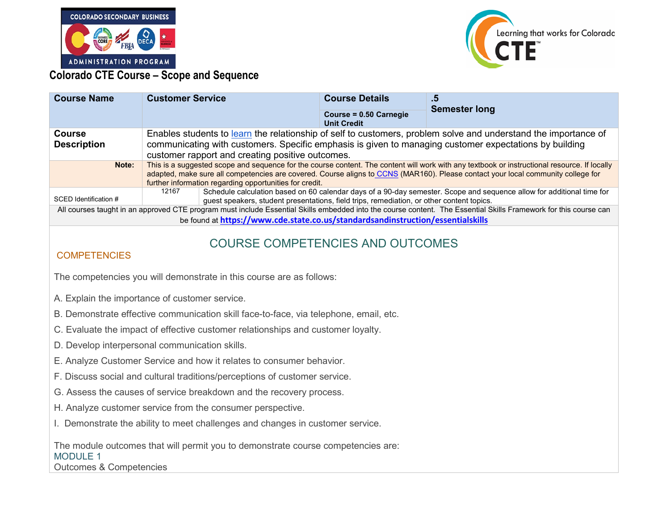



# **Colorado CTE Course – Scope and Sequence**

| <b>Course Name</b>                                                                                                                                               | <b>Customer Service</b>                                                                                                                                                                                                                                                                                                                     |                                                                                           | <b>Course Details</b>                        | .5<br><b>Semester long</b>                                                                                            |
|------------------------------------------------------------------------------------------------------------------------------------------------------------------|---------------------------------------------------------------------------------------------------------------------------------------------------------------------------------------------------------------------------------------------------------------------------------------------------------------------------------------------|-------------------------------------------------------------------------------------------|----------------------------------------------|-----------------------------------------------------------------------------------------------------------------------|
|                                                                                                                                                                  |                                                                                                                                                                                                                                                                                                                                             |                                                                                           | Course = 0.50 Carnegie<br><b>Unit Credit</b> |                                                                                                                       |
| Course<br><b>Description</b>                                                                                                                                     | Enables students to learn the relationship of self to customers, problem solve and understand the importance of<br>communicating with customers. Specific emphasis is given to managing customer expectations by building<br>customer rapport and creating positive outcomes.                                                               |                                                                                           |                                              |                                                                                                                       |
| Note:                                                                                                                                                            | This is a suggested scope and sequence for the course content. The content will work with any textbook or instructional resource. If locally<br>adapted, make sure all competencies are covered. Course aligns to CCNS (MAR160). Please contact your local community college for<br>further information regarding opportunities for credit. |                                                                                           |                                              |                                                                                                                       |
| SCED Identification #                                                                                                                                            | 12167                                                                                                                                                                                                                                                                                                                                       | guest speakers, student presentations, field trips, remediation, or other content topics. |                                              | Schedule calculation based on 60 calendar days of a 90-day semester. Scope and sequence allow for additional time for |
| All courses taught in an approved CTE program must include Essential Skills embedded into the course content. The Essential Skills Framework for this course can |                                                                                                                                                                                                                                                                                                                                             |                                                                                           |                                              |                                                                                                                       |
| be found at https://www.cde.state.co.us/standardsandinstruction/essentialskills                                                                                  |                                                                                                                                                                                                                                                                                                                                             |                                                                                           |                                              |                                                                                                                       |

# COURSE COMPETENCIES AND OUTCOMES

### **COMPETENCIES**

The competencies you will demonstrate in this course are as follows:

- A. Explain the importance of customer service.
- B. Demonstrate effective communication skill face-to-face, via telephone, email, etc.
- C. Evaluate the impact of effective customer relationships and customer loyalty.
- D. Develop interpersonal communication skills.
- E. Analyze Customer Service and how it relates to consumer behavior.
- F. Discuss social and cultural traditions/perceptions of customer service.
- G. Assess the causes of service breakdown and the recovery process.
- H. Analyze customer service from the consumer perspective.
- I. Demonstrate the ability to meet challenges and changes in customer service.

The module outcomes that will permit you to demonstrate course competencies are: MODULE 1 Outcomes & Competencies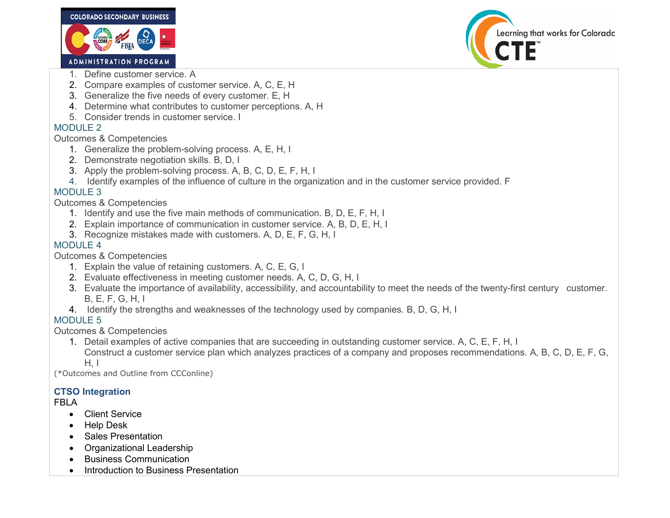



- 
- 2. Compare examples of customer service. A, C, E, H
- 3. Generalize the five needs of every customer. E, H
- 4. Determine what contributes to customer perceptions. A, H
- 5. Consider trends in customer service. I

### MODULE 2

#### Outcomes & Competencies

- 1. Generalize the problem-solving process. A, E, H, I
- 2. Demonstrate negotiation skills. B, D, I
- 3. Apply the problem-solving process. A, B, C, D, E, F, H, I
- 4. Identify examples of the influence of culture in the organization and in the customer service provided. F

## MODULE 3

### Outcomes & Competencies

- 1. Identify and use the five main methods of communication. B, D, E, F, H, I
- 2. Explain importance of communication in customer service. A, B, D, E, H, I
- 3. Recognize mistakes made with customers. A, D, E, F, G, H, I

# MODULE 4

Outcomes & Competencies

- 1. Explain the value of retaining customers. A, C, E, G, I
- 2. Evaluate effectiveness in meeting customer needs. A, C, D, G, H, I
- 3. Evaluate the importance of availability, accessibility, and accountability to meet the needs of the twenty-first century customer. B, E, F, G, H, I
- 4. Identify the strengths and weaknesses of the technology used by companies. B, D, G, H, I

## MODULE 5

Outcomes & Competencies

1. Detail examples of active companies that are succeeding in outstanding customer service. A, C, E, F, H, I Construct a customer service plan which analyzes practices of a company and proposes recommendations. A, B, C, D, E, F, G,  $H, I$ 

(\*Outcomes and Outline from CCConline)

### **CTSO Integration**

FBLA

- Client Service
- Help Desk
- Sales Presentation
- Organizational Leadership
- Business Communication
- Introduction to Business Presentation